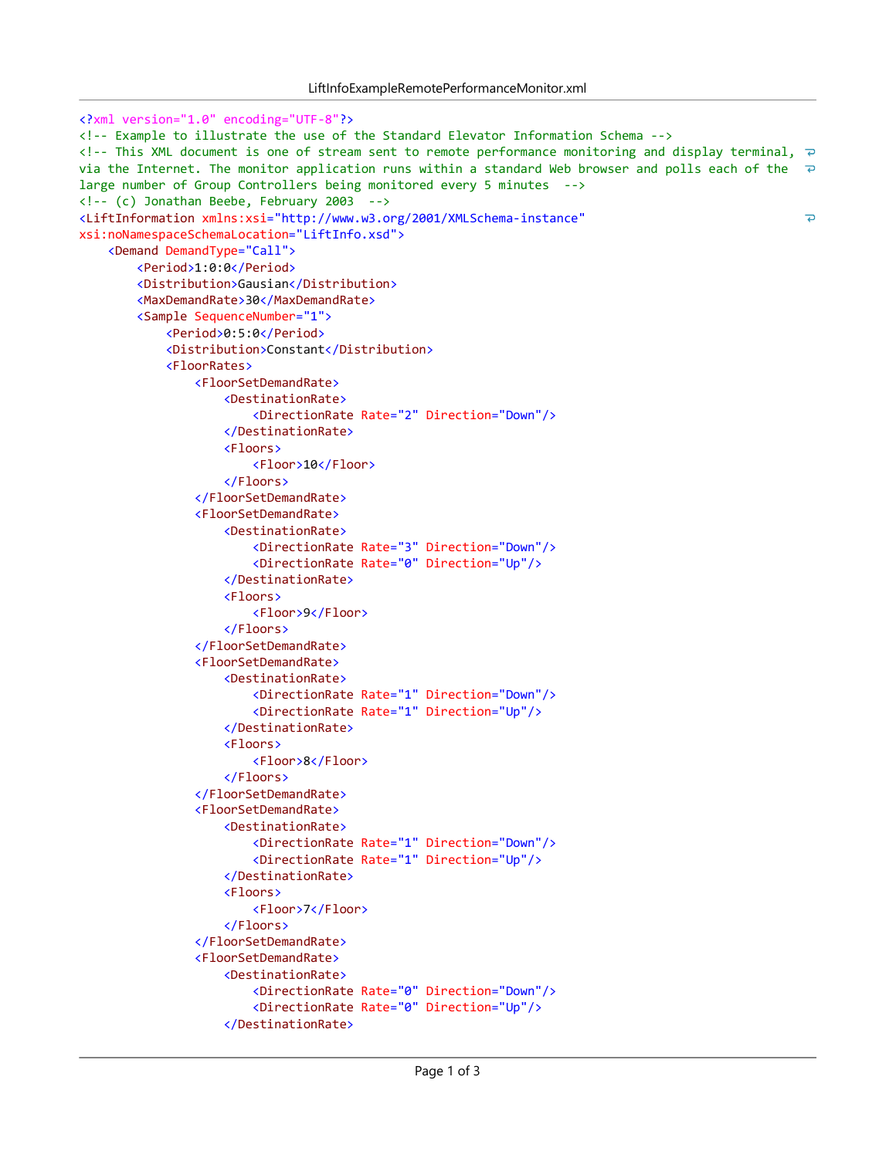```
<?xml version="1.0" encoding="UTF-8"?>
<! Example to illustrate the use of the Standard Elevator Information Schema >
<!-- This XML document is one of stream sent to remote performance monitoring and display terminal, \overline{P}via the Internet. The monitor application runs within a standard Web browser and polls each of the \overline{P}large number of Group Controllers being monitored every 5 minutes -->
\langle!-- (c) Jonathan Beebe, February 2003 -->
<LiftInformation xmlns:xsi="http://www.w3.org/2001/XMLSchema-instance"
                                                                                                         \overline{\mathbf{D}}xsi:noNamespaceSchemaLocation="LiftInfo.xsd">
    <Demand DemandType="Call">
        <Period>1:0:0</Period>
        <Distribution>Gausian</Distribution>
        <MaxDemandRate>30</MaxDemandRate>
        <Sample SequenceNumber="1">
            <Period>0:5:0</Period>
            <Distribution>Constant</Distribution>
            <FloorRates>
                <FloorSetDemandRate>
                     <DestinationRate>
                         <DirectionRate Rate="2" Direction="Down"/>
                     </DestinationRate>
                     <Floors>
                         <Floor>10</Floor>
                     </Floors>
                </FloorSetDemandRate>
                <FloorSetDemandRate>
                     <DestinationRate>
                         <DirectionRate Rate="3" Direction="Down"/>
                         <DirectionRate Rate="0" Direction="Up"/>
                     </DestinationRate>
                     <Floors>
                         <Floor>9</Floor>
                     </Floors>
                </FloorSetDemandRate>
                <FloorSetDemandRate>
                     <DestinationRate>
                         <DirectionRate Rate="1" Direction="Down"/>
                         <DirectionRate Rate="1" Direction="Up"/>
                     </DestinationRate>
                     <Floors>
                         <Floor>8</Floor>
                     </Floors>
                </FloorSetDemandRate>
                <FloorSetDemandRate>
                     <DestinationRate>
                         <DirectionRate Rate="1" Direction="Down"/>
                         <DirectionRate Rate="1" Direction="Up"/>
                     </DestinationRate>
                     <Floors>
                         <Floor>7</Floor>
                     </Floors>
                </FloorSetDemandRate>
                <FloorSetDemandRate>
                     <DestinationRate>
                         <DirectionRate Rate="0" Direction="Down"/>
                         <DirectionRate Rate="0" Direction="Up"/>
                     </DestinationRate>
```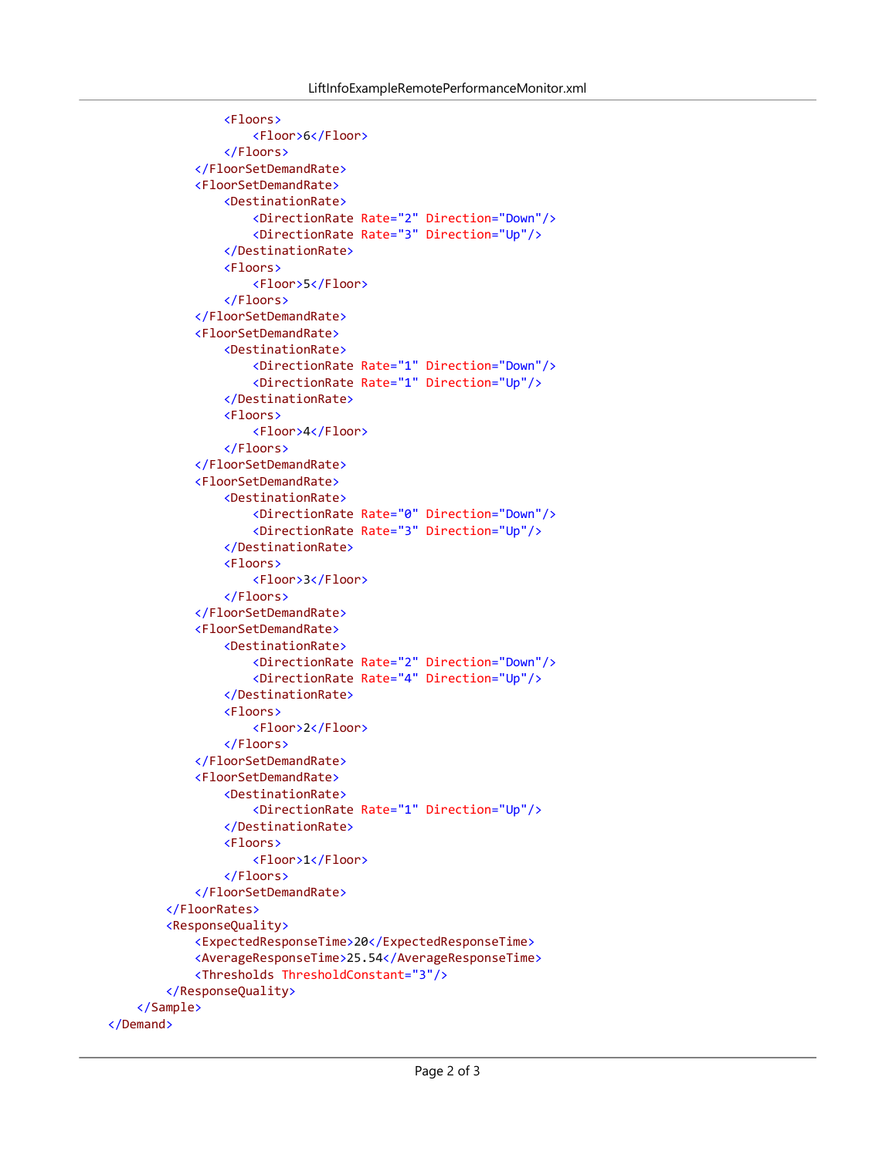```
<Floors>
                    <Floor>6</Floor>
                </Floors>
            </FloorSetDemandRate>
            <FloorSetDemandRate>
                <DestinationRate>
                    <DirectionRate Rate="2" Direction="Down"/>
                    <DirectionRate Rate="3" Direction="Up"/>
                </DestinationRate>
                <Floors>
                    <Floor>5</Floor>
                </Floors>
            </FloorSetDemandRate>
            <FloorSetDemandRate>
                <DestinationRate>
                    <DirectionRate Rate="1" Direction="Down"/>
                    <DirectionRate Rate="1" Direction="Up"/>
                </DestinationRate>
                <Floors>
                    <Floor>4</Floor>
                </Floors>
            </FloorSetDemandRate>
            <FloorSetDemandRate>
                <DestinationRate>
                    <DirectionRate Rate="0" Direction="Down"/>
                    <DirectionRate Rate="3" Direction="Up"/>
                </DestinationRate>
                <Floors>
                    <Floor>3</Floor>
                </Floors>
            </FloorSetDemandRate>
            <FloorSetDemandRate>
                <DestinationRate>
                    <DirectionRate Rate="2" Direction="Down"/>
                    <DirectionRate Rate="4" Direction="Up"/>
                </DestinationRate>
                <Floors>
                    <Floor>2</Floor>
                </Floors>
            </FloorSetDemandRate>
            <FloorSetDemandRate>
                <DestinationRate>
                    <DirectionRate Rate="1" Direction="Up"/>
                </DestinationRate>
                <Floors>
                    <Floor>1</Floor>
                </Floors>
            </FloorSetDemandRate>
        </FloorRates>
        <ResponseQuality>
            <ExpectedResponseTime>20</ExpectedResponseTime>
            <AverageResponseTime>25.54</AverageResponseTime>
            <Thresholds ThresholdConstant="3"/>
        </ResponseQuality>
    </Sample>
</Demand>
```